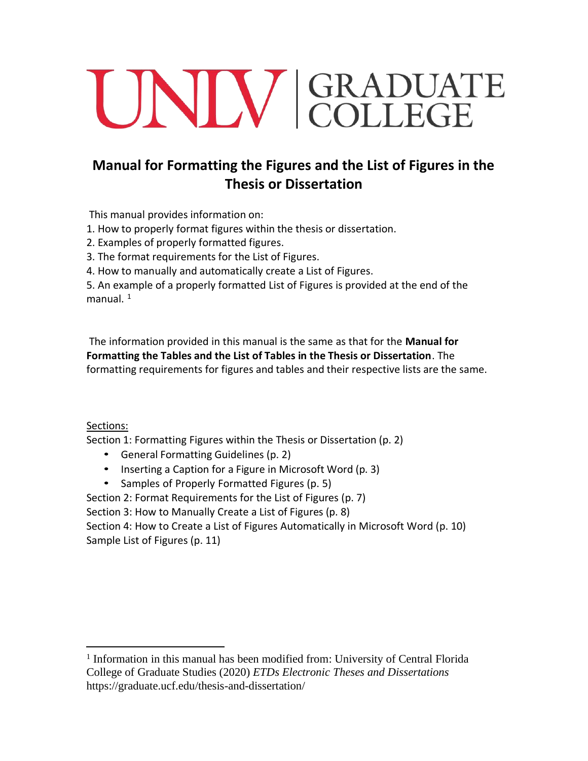# UNIV GRADUATE

# **Manual for Formatting the Figures and the List of Figures in the Thesis or Dissertation**

This manual provides information on:

1. How to properly format figures within the thesis or dissertation.

2. Examples of properly formatted figures.

3. The format requirements for the List of Figures.

4. How to manually and automatically create a List of Figures.

 5. An example of a properly formatted List of Figures is provided at the end of the manual.  $1$ 

 The information provided in this manual is the same as that for the **Manual for Formatting the Tables and the List of Tables in the Thesis or Dissertation**. The formatting requirements for figures and tables and their respective lists are the same.

Sections:

Section 1: Formatting Figures within the Thesis or Dissertation (p. 2)

- General Formatting Guidelines (p. 2)
- Inserting a Caption for a Figure in Microsoft Word (p. 3)
- Samples of Properly Formatted Figures (p. 5)

Section 2: Format Requirements for the List of Figures (p. 7) Section 3: How to Manually Create a List of Figures (p. 8) Section 4: How to Create a List of Figures Automatically in Microsoft Word (p. 10) Sample List of Figures (p. 11)

<span id="page-0-0"></span><sup>1</sup> Information in this manual has been modified from: University of Central Florida College of Graduate Studies (2020) *ETDs Electronic Theses and Dissertations*  <https://graduate.ucf.edu/thesis-and-dissertation>/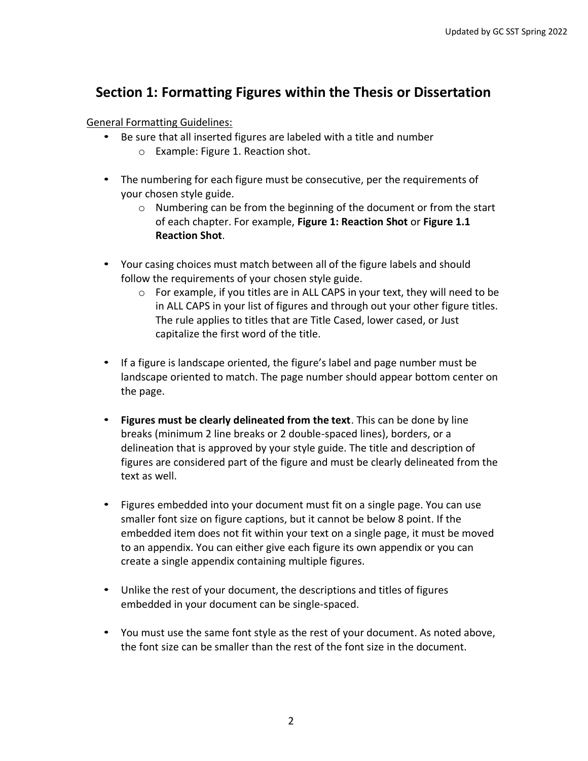## **Section 1: Formatting Figures within the Thesis or Dissertation**

#### General Formatting Guidelines:

- Be sure that all inserted figures are labeled with a title and number
	- o Example: Figure 1. Reaction shot.
- The numbering for each figure must be consecutive, per the requirements of your chosen style guide.
	- $\circ$  Numbering can be from the beginning of the document or from the start of each chapter. For example, **Figure 1: Reaction Shot** or **Figure 1.1 Reaction Shot**.
- Your casing choices must match between all of the figure labels and should follow the requirements of your chosen style guide.
	- in ALL CAPS in your list of figures and through out your other figure titles. The rule applies to titles that are Title Cased, lower cased, or Just  $\circ$  For example, if you titles are in ALL CAPS in your text, they will need to be capitalize the first word of the title.
- • If a figure is landscape oriented, the figure's label and page number must be landscape oriented to match. The page number should appear bottom center on the page.
- **Figures must be clearly delineated from the text**. This can be done by line breaks (minimum 2 line breaks or 2 double-spaced lines), borders, or a delineation that is approved by your style guide. The title and description of figures are considered part of the figure and must be clearly delineated from the text as well.
- • Figures embedded into your document must fit on a single page. You can use smaller font size on figure captions, but it cannot be below 8 point. If the embedded item does not fit within your text on a single page, it must be moved to an appendix. You can either give each figure its own appendix or you can create a single appendix containing multiple figures.
- Unlike the rest of your document, the descriptions and titles of figures embedded in your document can be single-spaced.
- • You must use the same font style as the rest of your document. As noted above, the font size can be smaller than the rest of the font size in the document.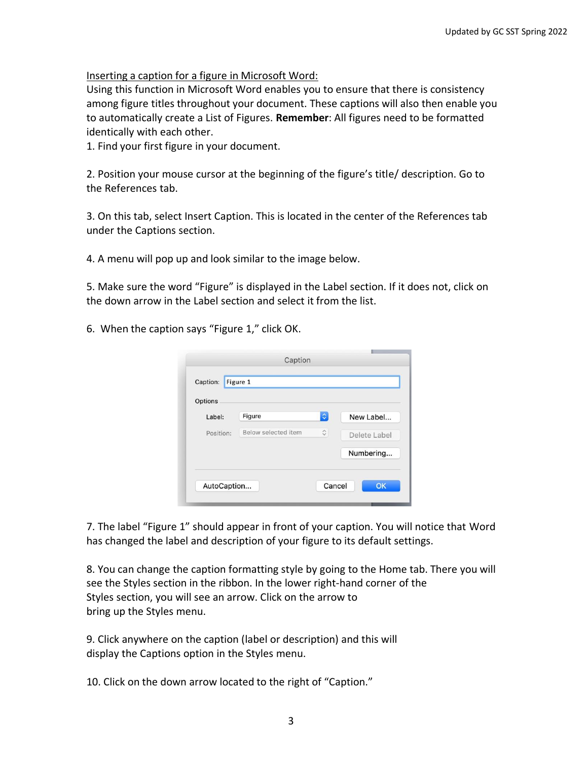Inserting a caption for a figure in Microsoft Word:

 Using this function in Microsoft Word enables you to ensure that there is consistency to automatically create a List of Figures. **Remember**: All figures need to be formatted among figure titles throughout your document. These captions will also then enable you identically with each other.

1. Find your first figure in your document.

 2. Position your mouse cursor at the beginning of the figure's title/ description. Go to the References tab.

 3. On this tab, select Insert Caption. This is located in the center of the References tab under the Captions section.

4. A menu will pop up and look similar to the image below.

 5. Make sure the word "Figure" is displayed in the Label section. If it does not, click on the down arrow in the Label section and select it from the list.

6. When the caption says "Figure 1," click OK.

| Options   |                     |                    |              |
|-----------|---------------------|--------------------|--------------|
| Label:    | Figure              | $ \diamond\rangle$ | New Label    |
| Position: | Below selected item | ़                  | Delete Label |
|           |                     |                    | Numbering    |

 7. The label "Figure 1" should appear in front of your caption. You will notice that Word has changed the label and description of your figure to its default settings.

 Styles section, you will see an arrow. Click on the arrow to 8. You can change the caption formatting style by going to the Home tab. There you will see the Styles section in the ribbon. In the lower right-hand corner of the bring up the Styles menu.

 9. Click anywhere on the caption (label or description) and this will display the Captions option in the Styles menu.

10. Click on the down arrow located to the right of "Caption."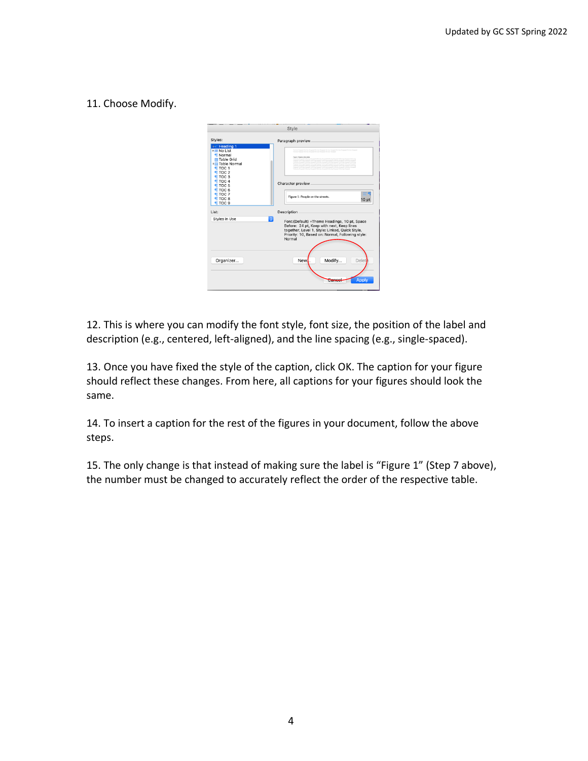#### 11. Choose Modify.

|                                                                                                                                                                                                                                                                                    | <b>Style</b>                                                                                                                                                                                                                                                          |
|------------------------------------------------------------------------------------------------------------------------------------------------------------------------------------------------------------------------------------------------------------------------------------|-----------------------------------------------------------------------------------------------------------------------------------------------------------------------------------------------------------------------------------------------------------------------|
| Styles:<br><b>Fill Heading 1</b><br>$H \equiv$ No List<br><b>T</b> Normal<br><b>H</b> Table Grid<br><b>ER Table Normal</b><br><b>TTOC1</b><br><b>TTOC 2</b><br><b>TTOC 3</b><br><b>TTOC4</b><br><b>TOC 5</b><br>TOC <sub>6</sub><br><b>TTOC 7</b><br><b>TOC 8</b><br><b>TTOC 9</b> | Paragraph preview<br>and in Provincia Management<br>Character preview<br>$\equiv$<br>Figure 1: People on the streets.<br>10 pt                                                                                                                                        |
| List:<br>G<br>Styles in Use<br>Organizer                                                                                                                                                                                                                                           | Description<br>Font: (Default) +Theme Headings, 10 pt, Space<br>Before: 24 pt, Keep with next, Keep lines<br>together, Level 1, Style: Linked, Quick Style,<br>Priority: 10, Based on: Normal, Following style:<br>Normal<br>Modify<br>New.<br>Delete<br><b>Apply</b> |

 12. This is where you can modify the font style, font size, the position of the label and description (e.g., centered, left-aligned), and the line spacing (e.g., single-spaced).

 13. Once you have fixed the style of the caption, click OK. The caption for your figure should reflect these changes. From here, all captions for your figures should look the same.

14. To insert a caption for the rest of the figures in your document, follow the above steps.

 15. The only change is that instead of making sure the label is "Figure 1" (Step 7 above), the number must be changed to accurately reflect the order of the respective table.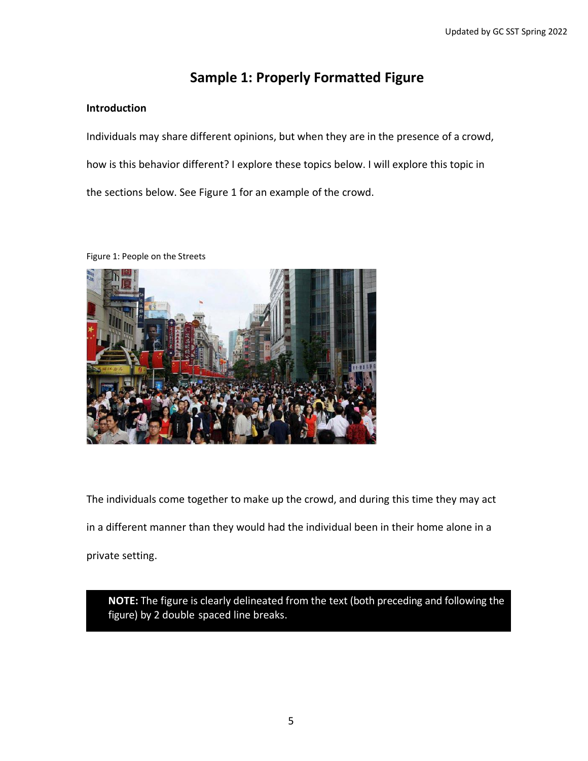## **Sample 1: Properly Formatted Figure**

#### <span id="page-4-0"></span>**Introduction**

 how is this behavior different? I explore these topics below. I will explore this topic in Individuals may share different opinions, but when they are in the presence of a crowd, the sections below. See Figure 1 for an example of the crowd.

Figure 1: People on the Streets



 The individuals come together to make up the crowd, and during this time they may act in a different manner than they would had the individual been in their home alone in a private setting.

 **NOTE:** The figure is clearly delineated from the text (both preceding and following the figure) by 2 double spaced line breaks.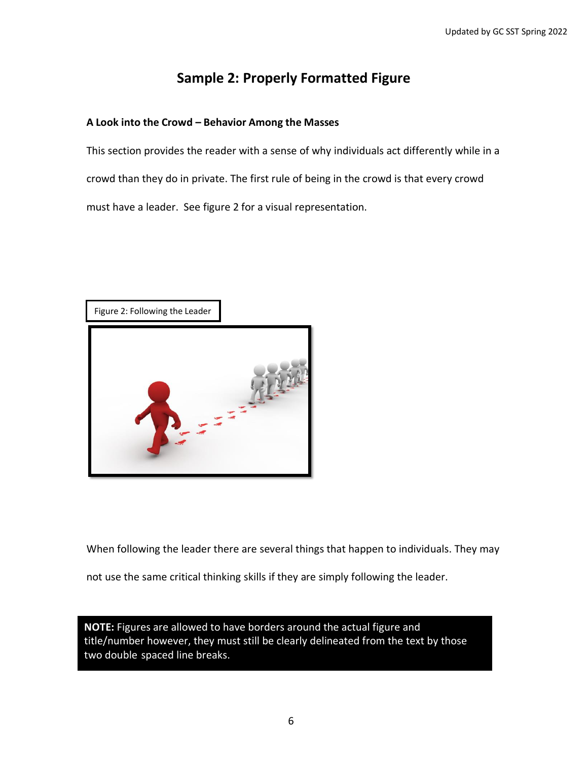# **Sample 2: Properly Formatted Figure**

#### <span id="page-5-0"></span>**A Look into the Crowd – Behavior Among the Masses**

 This section provides the reader with a sense of why individuals act differently while in a crowd than they do in private. The first rule of being in the crowd is that every crowd must have a leader. See figure 2 for a visual representation.





When following the leader there are several things that happen to individuals. They may

not use the same critical thinking skills if they are simply following the leader.

 **NOTE:** Figures are allowed to have borders around the actual figure and two double spaced line breaks. title/number however, they must still be clearly delineated from the text by those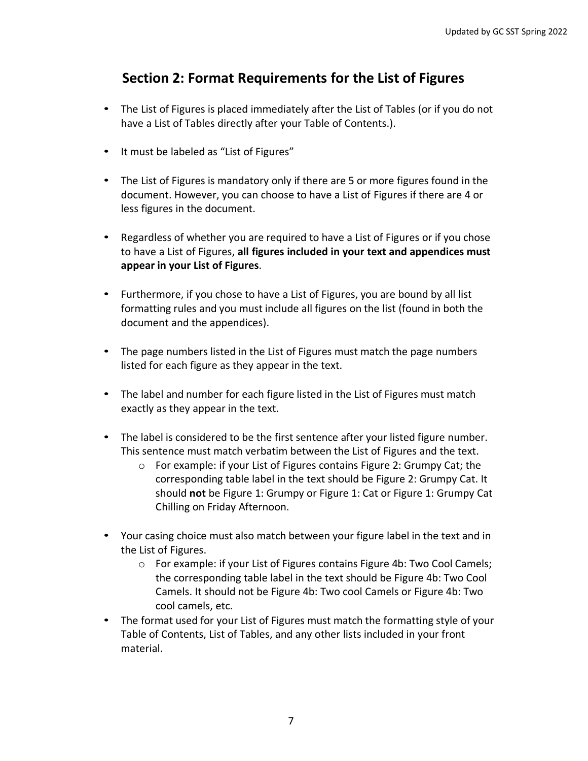# **Section 2: Format Requirements for the List of Figures**

- The List of Figures is placed immediately after the List of Tables (or if you do not have a List of Tables directly after your Table of Contents.).
- It must be labeled as "List of Figures"
- document. However, you can choose to have a List of Figures if there are 4 or • The List of Figures is mandatory only if there are 5 or more figures found in the less figures in the document.
- • Regardless of whether you are required to have a List of Figures or if you chose to have a List of Figures, **all figures included in your text and appendices must appear in your List of Figures**.
- • Furthermore, if you chose to have a List of Figures, you are bound by all list formatting rules and you must include all figures on the list (found in both the document and the appendices).
- The page numbers listed in the List of Figures must match the page numbers listed for each figure as they appear in the text.
- exactly as they appear in the text. • The label and number for each figure listed in the List of Figures must match
- The label is considered to be the first sentence after your listed figure number. This sentence must match verbatim between the List of Figures and the text.
	- o For example: if your List of Figures contains Figure 2: Grumpy Cat; the corresponding table label in the text should be Figure 2: Grumpy Cat. It should **not** be Figure 1: Grumpy or Figure 1: Cat or Figure 1: Grumpy Cat Chilling on Friday Afternoon.
- Your casing choice must also match between your figure label in the text and in the List of Figures.
	- Camels. It should not be Figure 4b: Two cool Camels or Figure 4b: Two o For example: if your List of Figures contains Figure 4b: Two Cool Camels; the corresponding table label in the text should be Figure 4b: Two Cool cool camels, etc.
- Table of Contents, List of Tables, and any other lists included in your front • The format used for your List of Figures must match the formatting style of your material.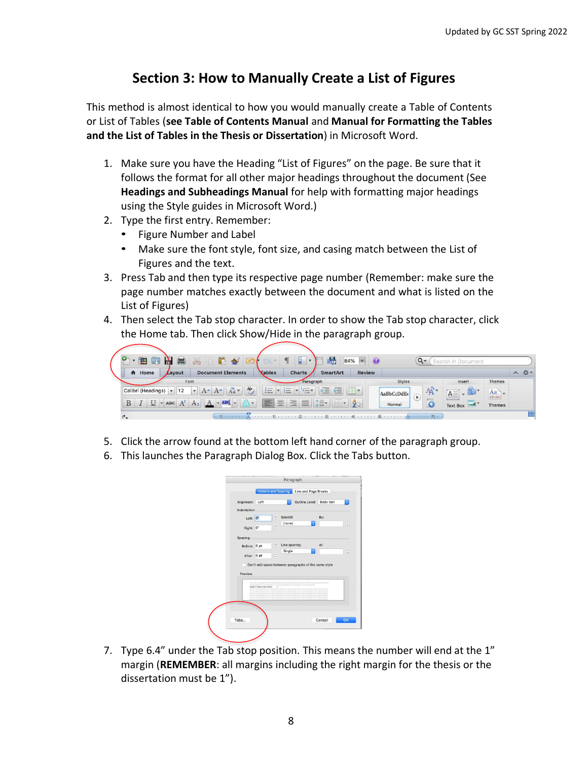## **Section 3: How to Manually Create a List of Figures**

 This method is almost identical to how you would manually create a Table of Contents or List of Tables (**see Table of Contents Manual** and **Manual for Formatting the Tables and the List of Tables in the Thesis or Dissertation**) in Microsoft Word.

- 1. Make sure you have the Heading "List of Figures" on the page. Be sure that it  **Headings and Subheadings Manual** for help with formatting major headings follows the format for all other major headings throughout the document (See using the Style guides in Microsoft Word.)
- 2. Type the first entry. Remember:
	- Figure Number and Label
	- Make sure the font style, font size, and casing match between the List of Figures and the text.
- page number matches exactly between the document and what is listed on the 3. Press Tab and then type its respective page number (Remember: make sure the List of Figures)
- 4. Then select the Tab stop character. In order to show the Tab stop character, click the Home tab. Then click Show/Hide in the paragraph group.



- 5. Click the arrow found at the bottom left hand corner of the paragraph group.
- 6. This launches the Paragraph Dialog Box. Click the Tabs button.

|                 |                                  | Outline Level: Body text                                                                                                                                                  |     | a                               |
|-----------------|----------------------------------|---------------------------------------------------------------------------------------------------------------------------------------------------------------------------|-----|---------------------------------|
| Alignment: Left |                                  |                                                                                                                                                                           |     |                                 |
| Indentation     |                                  |                                                                                                                                                                           |     |                                 |
| Left: 0°        | ċ                                | Special:                                                                                                                                                                  | By: |                                 |
|                 | $\sim$                           | (none)<br>٥                                                                                                                                                               |     | $\hat{\phantom{a}}$<br>$\omega$ |
| Right: 0°       | u                                |                                                                                                                                                                           |     |                                 |
| Spacing         |                                  |                                                                                                                                                                           |     |                                 |
| Before: 0 pt    | ċ                                | Line spacing:                                                                                                                                                             | At: |                                 |
|                 |                                  | Single<br>ю                                                                                                                                                               |     | $\ddot{\cdot}$                  |
| After: 0 pt     | ¢                                |                                                                                                                                                                           |     |                                 |
|                 |                                  | Don't add space between paragraphs of the same style                                                                                                                      |     |                                 |
| Preview         |                                  |                                                                                                                                                                           |     |                                 |
|                 |                                  |                                                                                                                                                                           |     |                                 |
|                 | Network Financial Financial      | air Fermand Permetado Da<br>ing Fishamian Premium Fishamian Freehous Elshamian                                                                                            |     |                                 |
|                 | Figure 1: Pengin on the streets. | ×<br>reginate it at it on the Normal market with the Participant of this trans-<br>og Tamaria de Katione i qui Persamuelt Politicismus Perisamuelt Follows has Thousanuel |     |                                 |
|                 |                                  |                                                                                                                                                                           |     |                                 |
| <b>Northern</b> | <b>Malline La Politiciana</b>    | in Partners at Art Lowing Hampmad Automotive Partners at Art Lowing Parts<br>by Party to all Party of a burnal built of the Party Party and the Party of the party of     |     |                                 |
|                 |                                  | armore Parks and the Platter<br>and the company of the                                                                                                                    |     |                                 |
|                 |                                  |                                                                                                                                                                           |     |                                 |

7. Type 6.4" under the Tab stop position. This means the number will end at the 1" margin (**REMEMBER**: all margins including the right margin for the thesis or the dissertation must be 1").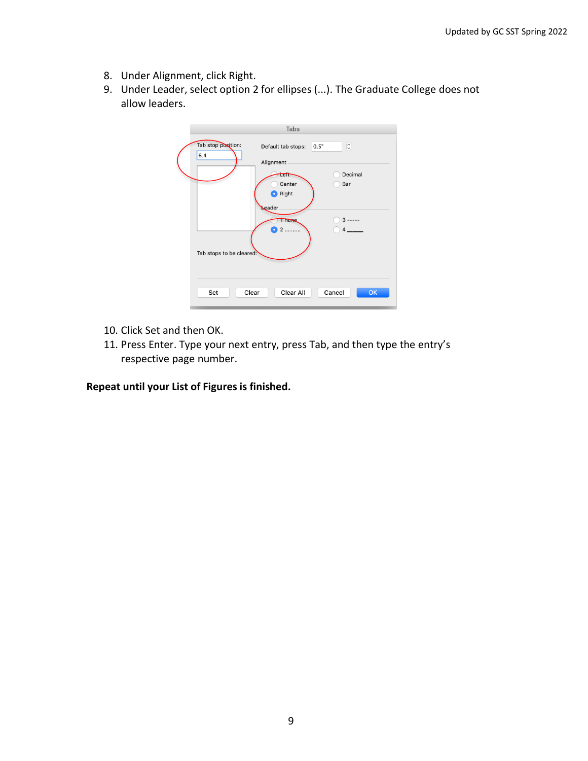- <span id="page-8-0"></span>8. Under Alignment, click Right.
- 9. Under Leader, select option 2 for ellipses (...). The Graduate College does not allow leaders.

|                           | <b>Tabs</b>                            |                       |  |
|---------------------------|----------------------------------------|-----------------------|--|
| Tab stop position:<br>6.4 | Default tab stops:<br>Alignment        | $\hat{\cdot}$<br>0.5" |  |
|                           | Left<br>Center<br>Right                | Decimal<br>Bar        |  |
|                           | <b>Leader</b><br><b>TTORE</b><br>1.1.1 | $3$ -----             |  |
| Tab stops to be cleared:  |                                        |                       |  |
| Set                       | Clear All<br>Clear                     | Cancel<br>OK          |  |

- 10. Click Set and then OK.
- 11. Press Enter. Type your next entry, press Tab, and then type the entry's respective page number.

**Repeat until your List of Figures is finished.**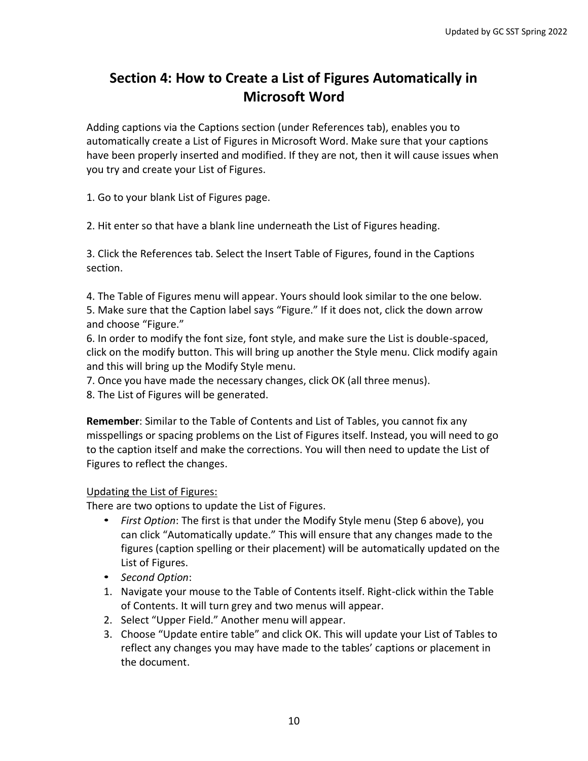# **Section 4: How to Create a List of Figures Automatically in Microsoft Word**

 Adding captions via the Captions section (under References tab), enables you to automatically create a List of Figures in Microsoft Word. Make sure that your captions have been properly inserted and modified. If they are not, then it will cause issues when you try and create your List of Figures.

1. Go to your blank List of Figures page.

2. Hit enter so that have a blank line underneath the List of Figures heading.

 3. Click the References tab. Select the Insert Table of Figures, found in the Captions section.

 5. Make sure that the Caption label says "Figure." If it does not, click the down arrow 4. The Table of Figures menu will appear. Yours should look similar to the one below. and choose "Figure."

 6. In order to modify the font size, font style, and make sure the List is double-spaced, click on the modify button. This will bring up another the Style menu. Click modify again and this will bring up the Modify Style menu.

- 7. Once you have made the necessary changes, click OK (all three menus).
- 8. The List of Figures will be generated.

 **Remember**: Similar to the Table of Contents and List of Tables, you cannot fix any to the caption itself and make the corrections. You will then need to update the List of misspellings or spacing problems on the List of Figures itself. Instead, you will need to go Figures to reflect the changes.

#### Updating the List of Figures:

There are two options to update the List of Figures.

- • *First Option*: The first is that under the Modify Style menu (Step 6 above), you can click "Automatically update." This will ensure that any changes made to the figures (caption spelling or their placement) will be automatically updated on the List of Figures.
- *Second Option*:
- 1. Navigate your mouse to the Table of Contents itself. Right-click within the Table of Contents. It will turn grey and two menus will appear.
- 2. Select "Upper Field." Another menu will appear.
- 3. Choose "Update entire table" and click OK. This will update your List of Tables to reflect any changes you may have made to the tables' captions or placement in the document.